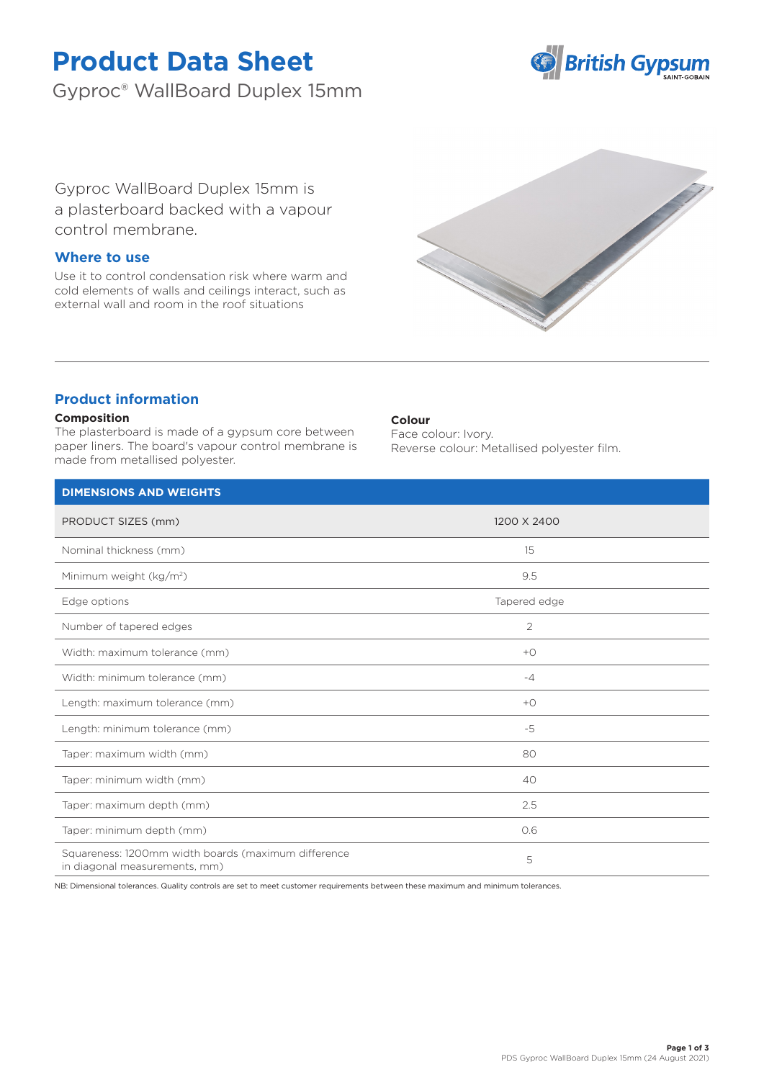# **Product Data Sheet**

Gyproc® WallBoard Duplex 15mm



Gyproc WallBoard Duplex 15mm is a plasterboard backed with a vapour control membrane.

# **Where to use**

Use it to control condensation risk where warm and cold elements of walls and ceilings interact, such as external wall and room in the roof situations



# **Product information**

### **Composition**

The plasterboard is made of a gypsum core between paper liners. The board's vapour control membrane is made from metallised polyester.

### **Colour**

Face colour: Ivory. Reverse colour: Metallised polyester film.

| <b>DIMENSIONS AND WEIGHTS</b>                                                        |                |  |
|--------------------------------------------------------------------------------------|----------------|--|
| PRODUCT SIZES (mm)                                                                   | 1200 X 2400    |  |
| Nominal thickness (mm)                                                               | 15             |  |
| Minimum weight (kg/m <sup>2</sup> )                                                  | 9.5            |  |
| Edge options                                                                         | Tapered edge   |  |
| Number of tapered edges                                                              | $\overline{2}$ |  |
| Width: maximum tolerance (mm)                                                        | $+O$           |  |
| Width: minimum tolerance (mm)                                                        | $-4$           |  |
| Length: maximum tolerance (mm)                                                       | $+O$           |  |
| Length: minimum tolerance (mm)                                                       | -5             |  |
| Taper: maximum width (mm)                                                            | 80             |  |
| Taper: minimum width (mm)                                                            | 40             |  |
| Taper: maximum depth (mm)                                                            | 2.5            |  |
| Taper: minimum depth (mm)                                                            | 0.6            |  |
| Squareness: 1200mm width boards (maximum difference<br>in diagonal measurements, mm) | 5              |  |

NB: Dimensional tolerances. Quality controls are set to meet customer requirements between these maximum and minimum tolerances.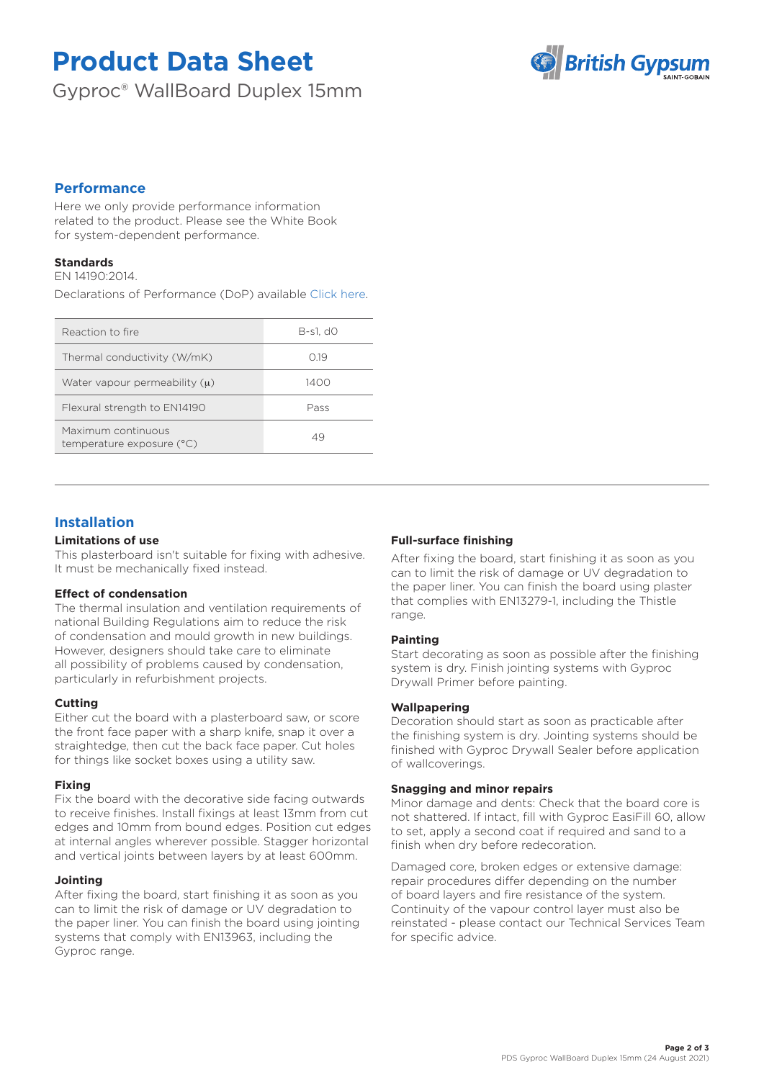# **Product Data Sheet**

Gyproc® WallBoard Duplex 15mm



# **Performance**

Here we only provide performance information related to the product. Please see the White Book for system-dependent performance.

# **Standards**

EN 14190:2014.

Declarations of Performance (DoP) available [Click here.](https://www.british-gypsum.com/DoP)

| Reaction to fire                                | B-s1, dO |
|-------------------------------------------------|----------|
| Thermal conductivity (W/mK)                     | O 19     |
| Water vapour permeability $(\mu)$               | 1400     |
| Flexural strength to EN14190                    | Pass     |
| Maximum continuous<br>temperature exposure (°C) | 49       |
|                                                 |          |

# **Installation**

### **Limitations of use**

This plasterboard isn't suitable for fixing with adhesive. It must be mechanically fixed instead.

## **Effect of condensation**

The thermal insulation and ventilation requirements of national Building Regulations aim to reduce the risk of condensation and mould growth in new buildings. However, designers should take care to eliminate all possibility of problems caused by condensation, particularly in refurbishment projects.

## **Cutting**

Either cut the board with a plasterboard saw, or score the front face paper with a sharp knife, snap it over a straightedge, then cut the back face paper. Cut holes for things like socket boxes using a utility saw.

#### **Fixing**

Fix the board with the decorative side facing outwards to receive finishes. Install fixings at least 13mm from cut edges and 10mm from bound edges. Position cut edges at internal angles wherever possible. Stagger horizontal and vertical joints between layers by at least 600mm.

## **Jointing**

After fixing the board, start finishing it as soon as you can to limit the risk of damage or UV degradation to the paper liner. You can finish the board using jointing systems that comply with EN13963, including the Gyproc range.

## **Full-surface finishing**

After fixing the board, start finishing it as soon as you can to limit the risk of damage or UV degradation to the paper liner. You can finish the board using plaster that complies with EN13279-1, including the Thistle range.

## **Painting**

Start decorating as soon as possible after the finishing system is dry. Finish jointing systems with Gyproc Drywall Primer before painting.

#### **Wallpapering**

Decoration should start as soon as practicable after the finishing system is dry. Jointing systems should be finished with Gyproc Drywall Sealer before application of wallcoverings.

#### **Snagging and minor repairs**

Minor damage and dents: Check that the board core is not shattered. If intact, fill with Gyproc EasiFill 60, allow to set, apply a second coat if required and sand to a finish when dry before redecoration.

Damaged core, broken edges or extensive damage: repair procedures differ depending on the number of board layers and fire resistance of the system. Continuity of the vapour control layer must also be reinstated - please contact our Technical Services Team for specific advice.